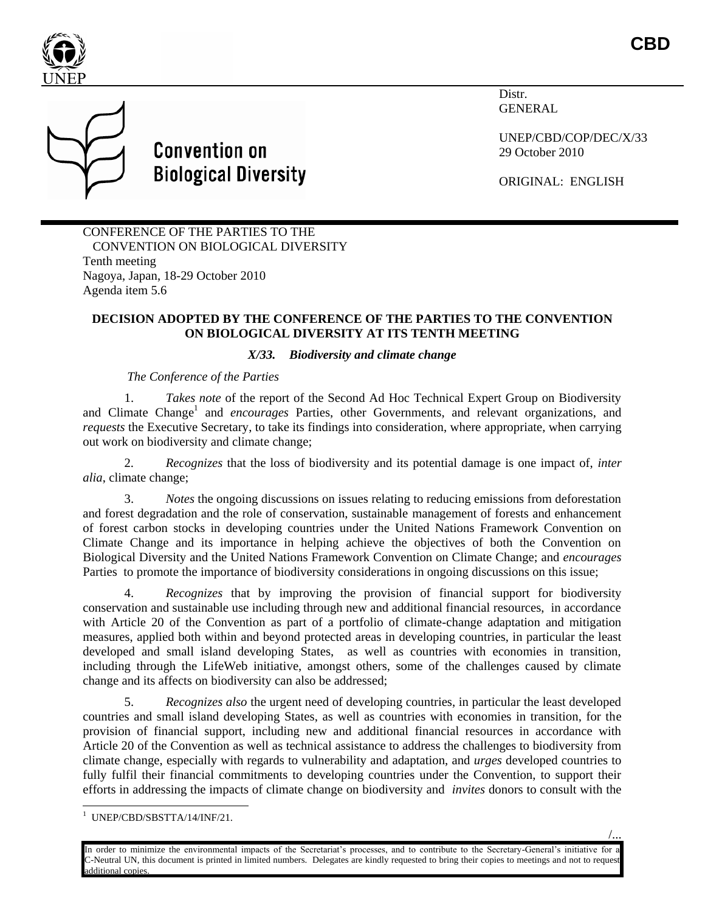

Distr. GENERAL

> UNEP/CBD/COP/DEC/X/33 29 October 2010

> > /...

ORIGINAL: ENGLISH



# **Convention on Biological Diversity**

CONFERENCE OF THE PARTIES TO THE CONVENTION ON BIOLOGICAL DIVERSITY Tenth meeting Nagoya, Japan, 18-29 October 2010 Agenda item 5.6

# **DECISION ADOPTED BY THE CONFERENCE OF THE PARTIES TO THE CONVENTION ON BIOLOGICAL DIVERSITY AT ITS TENTH MEETING**

# *X/33. Biodiversity and climate change*

## *The Conference of the Parties*

1. *Takes note* of the report of the Second Ad Hoc Technical Expert Group on Biodiversity and Climate Change 1 and *encourages* Parties, other Governments, and relevant organizations, and *requests* the Executive Secretary, to take its findings into consideration, where appropriate, when carrying out work on biodiversity and climate change;

2. *Recognizes* that the loss of biodiversity and its potential damage is one impact of, *inter alia*, climate change;

3. *Notes* the ongoing discussions on issues relating to reducing emissions from deforestation and forest degradation and the role of conservation, sustainable management of forests and enhancement of forest carbon stocks in developing countries under the United Nations Framework Convention on Climate Change and its importance in helping achieve the objectives of both the Convention on Biological Diversity and the United Nations Framework Convention on Climate Change; and *encourages* Parties to promote the importance of biodiversity considerations in ongoing discussions on this issue;

4. *Recognizes* that by improving the provision of financial support for biodiversity conservation and sustainable use including through new and additional financial resources, in accordance with Article 20 of the Convention as part of a portfolio of climate-change adaptation and mitigation measures, applied both within and beyond protected areas in developing countries, in particular the least developed and small island developing States, as well as countries with economies in transition, including through the LifeWeb initiative, amongst others, some of the challenges caused by climate change and its affects on biodiversity can also be addressed;

5. *Recognizes also* the urgent need of developing countries, in particular the least developed countries and small island developing States, as well as countries with economies in transition, for the provision of financial support, including new and additional financial resources in accordance with Article 20 of the Convention as well as technical assistance to address the challenges to biodiversity from climate change, especially with regards to vulnerability and adaptation, and *urges* developed countries to fully fulfil their financial commitments to developing countries under the Convention, to support their efforts in addressing the impacts of climate change on biodiversity and *invites* donors to consult with the

<sup>1</sup> UNEP/CBD/SBSTTA/14/INF/21.

In order to minimize the environmental impacts of the Secretariat's processes, and to contribute to the Secretary-General's initiative for a C-Neutral UN, this document is printed in limited numbers. Delegates are kindly requested to bring their copies to meetings and not to request additional copies.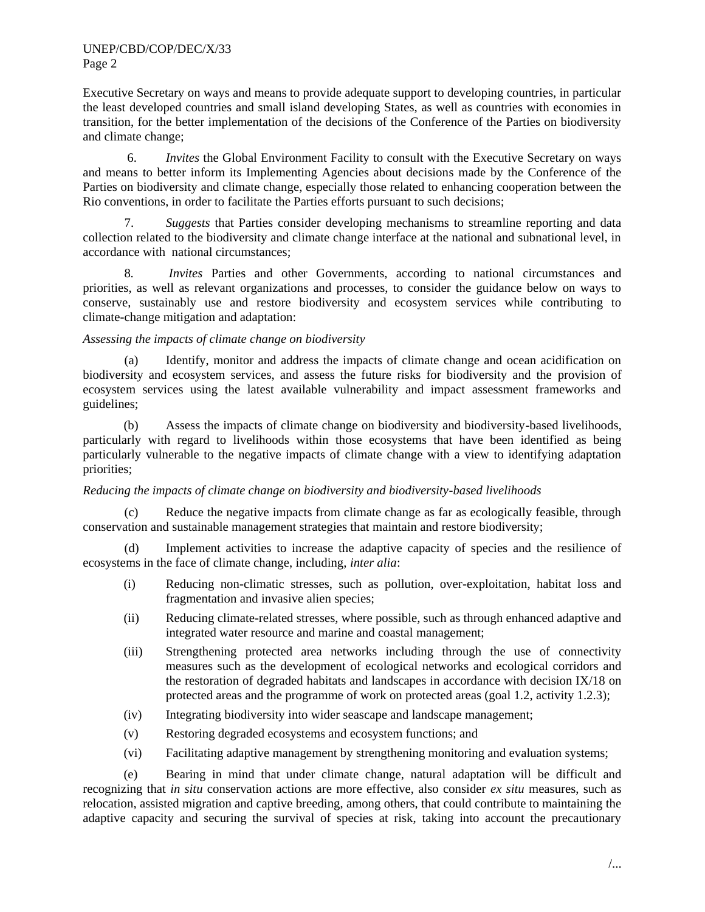## UNEP/CBD/COP/DEC/X/33 Page 2

Executive Secretary on ways and means to provide adequate support to developing countries, in particular the least developed countries and small island developing States, as well as countries with economies in transition, for the better implementation of the decisions of the Conference of the Parties on biodiversity and climate change;

6. *Invites* the Global Environment Facility to consult with the Executive Secretary on ways and means to better inform its Implementing Agencies about decisions made by the Conference of the Parties on biodiversity and climate change, especially those related to enhancing cooperation between the Rio conventions, in order to facilitate the Parties efforts pursuant to such decisions;

7. *Suggests* that Parties consider developing mechanisms to streamline reporting and data collection related to the biodiversity and climate change interface at the national and subnational level, in accordance with national circumstances;

8*. Invites* Parties and other Governments, according to national circumstances and priorities, as well as relevant organizations and processes, to consider the guidance below on ways to conserve, sustainably use and restore biodiversity and ecosystem services while contributing to climate-change mitigation and adaptation:

# *Assessing the impacts of climate change on biodiversity*

(a) Identify, monitor and address the impacts of climate change and ocean acidification on biodiversity and ecosystem services, and assess the future risks for biodiversity and the provision of ecosystem services using the latest available vulnerability and impact assessment frameworks and guidelines;

(b) Assess the impacts of climate change on biodiversity and biodiversity-based livelihoods, particularly with regard to livelihoods within those ecosystems that have been identified as being particularly vulnerable to the negative impacts of climate change with a view to identifying adaptation priorities;

## *Reducing the impacts of climate change on biodiversity and biodiversity-based livelihoods*

(c) Reduce the negative impacts from climate change as far as ecologically feasible, through conservation and sustainable management strategies that maintain and restore biodiversity;

(d) Implement activities to increase the adaptive capacity of species and the resilience of ecosystems in the face of climate change, including, *inter alia*:

- (i) Reducing non-climatic stresses, such as pollution, over-exploitation, habitat loss and fragmentation and invasive alien species;
- (ii) Reducing climate-related stresses, where possible, such as through enhanced adaptive and integrated water resource and marine and coastal management;
- (iii) Strengthening protected area networks including through the use of connectivity measures such as the development of ecological networks and ecological corridors and the restoration of degraded habitats and landscapes in accordance with decision IX/18 on protected areas and the programme of work on protected areas (goal 1.2, activity 1.2.3);
- (iv) Integrating biodiversity into wider seascape and landscape management;
- (v) Restoring degraded ecosystems and ecosystem functions; and
- (vi) Facilitating adaptive management by strengthening monitoring and evaluation systems;

(e) Bearing in mind that under climate change, natural adaptation will be difficult and recognizing that *in situ* conservation actions are more effective, also consider *ex situ* measures, such as relocation, assisted migration and captive breeding, among others, that could contribute to maintaining the adaptive capacity and securing the survival of species at risk, taking into account the precautionary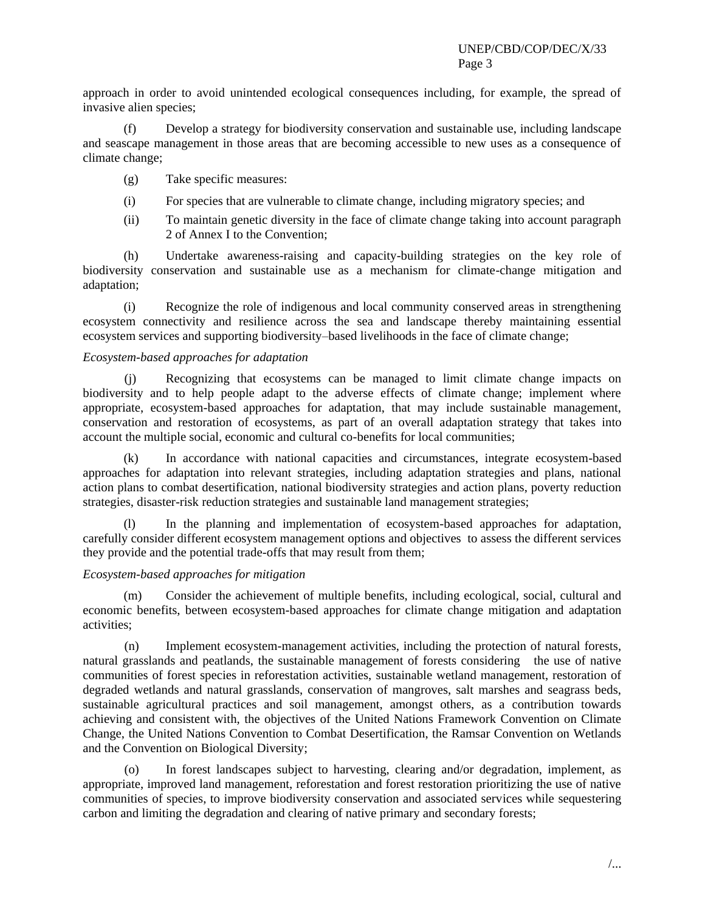approach in order to avoid unintended ecological consequences including, for example, the spread of invasive alien species;

(f) Develop a strategy for biodiversity conservation and sustainable use, including landscape and seascape management in those areas that are becoming accessible to new uses as a consequence of climate change;

- (g) Take specific measures:
- (i) For species that are vulnerable to climate change, including migratory species; and
- (ii) To maintain genetic diversity in the face of climate change taking into account paragraph 2 of Annex I to the Convention;

(h) Undertake awareness-raising and capacity-building strategies on the key role of biodiversity conservation and sustainable use as a mechanism for climate-change mitigation and adaptation;

(i) Recognize the role of indigenous and local community conserved areas in strengthening ecosystem connectivity and resilience across the sea and landscape thereby maintaining essential ecosystem services and supporting biodiversity–based livelihoods in the face of climate change;

#### *Ecosystem-based approaches for adaptation*

(j) Recognizing that ecosystems can be managed to limit climate change impacts on biodiversity and to help people adapt to the adverse effects of climate change; implement where appropriate, ecosystem-based approaches for adaptation, that may include sustainable management, conservation and restoration of ecosystems, as part of an overall adaptation strategy that takes into account the multiple social, economic and cultural co-benefits for local communities;

(k) In accordance with national capacities and circumstances, integrate ecosystem-based approaches for adaptation into relevant strategies, including adaptation strategies and plans, national action plans to combat desertification, national biodiversity strategies and action plans, poverty reduction strategies, disaster-risk reduction strategies and sustainable land management strategies;

(l) In the planning and implementation of ecosystem-based approaches for adaptation, carefully consider different ecosystem management options and objectives to assess the different services they provide and the potential trade-offs that may result from them;

#### *Ecosystem-based approaches for mitigation*

(m) Consider the achievement of multiple benefits, including ecological, social, cultural and economic benefits, between ecosystem-based approaches for climate change mitigation and adaptation activities;

(n) Implement ecosystem-management activities, including the protection of natural forests, natural grasslands and peatlands, the sustainable management of forests considering the use of native communities of forest species in reforestation activities, sustainable wetland management, restoration of degraded wetlands and natural grasslands, conservation of mangroves, salt marshes and seagrass beds, sustainable agricultural practices and soil management, amongst others, as a contribution towards achieving and consistent with, the objectives of the United Nations Framework Convention on Climate Change, the United Nations Convention to Combat Desertification, the Ramsar Convention on Wetlands and the Convention on Biological Diversity;

(o) In forest landscapes subject to harvesting, clearing and/or degradation, implement, as appropriate, improved land management, reforestation and forest restoration prioritizing the use of native communities of species, to improve biodiversity conservation and associated services while sequestering carbon and limiting the degradation and clearing of native primary and secondary forests;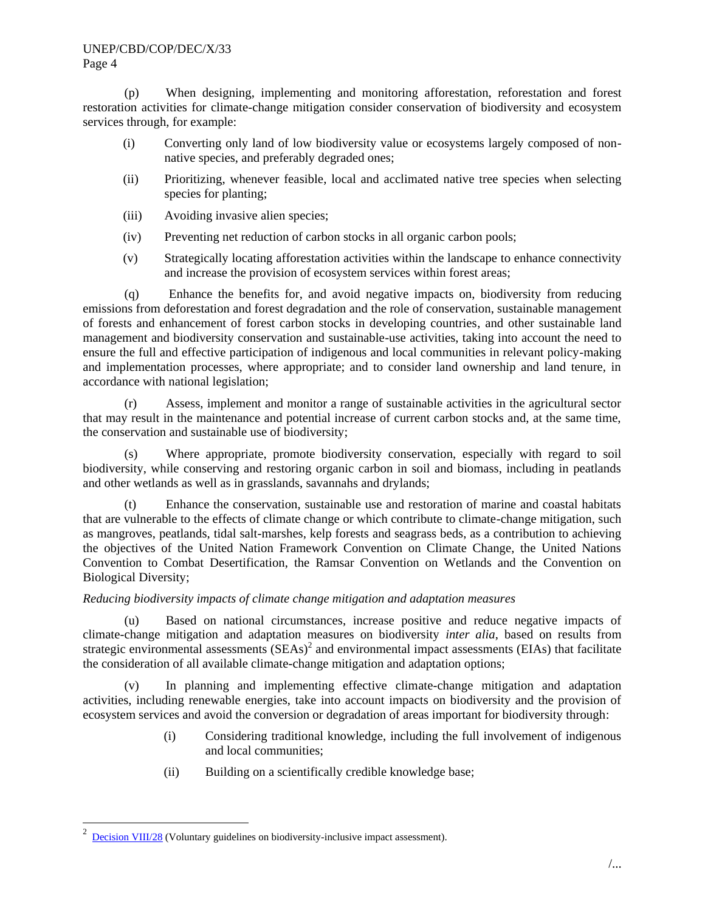## UNEP/CBD/COP/DEC/X/33 Page 4

(p) When designing, implementing and monitoring afforestation, reforestation and forest restoration activities for climate-change mitigation consider conservation of biodiversity and ecosystem services through, for example:

- (i) Converting only land of low biodiversity value or ecosystems largely composed of nonnative species, and preferably degraded ones;
- (ii) Prioritizing, whenever feasible, local and acclimated native tree species when selecting species for planting;
- (iii) Avoiding invasive alien species;
- (iv) Preventing net reduction of carbon stocks in all organic carbon pools;
- (v) Strategically locating afforestation activities within the landscape to enhance connectivity and increase the provision of ecosystem services within forest areas;

(q) Enhance the benefits for, and avoid negative impacts on, biodiversity from reducing emissions from deforestation and forest degradation and the role of conservation, sustainable management of forests and enhancement of forest carbon stocks in developing countries, and other sustainable land management and biodiversity conservation and sustainable-use activities, taking into account the need to ensure the full and effective participation of indigenous and local communities in relevant policy-making and implementation processes, where appropriate; and to consider land ownership and land tenure, in accordance with national legislation;

(r) Assess, implement and monitor a range of sustainable activities in the agricultural sector that may result in the maintenance and potential increase of current carbon stocks and, at the same time, the conservation and sustainable use of biodiversity;

(s) Where appropriate, promote biodiversity conservation, especially with regard to soil biodiversity, while conserving and restoring organic carbon in soil and biomass, including in peatlands and other wetlands as well as in grasslands, savannahs and drylands;

(t) Enhance the conservation, sustainable use and restoration of marine and coastal habitats that are vulnerable to the effects of climate change or which contribute to climate-change mitigation, such as mangroves, peatlands, tidal salt-marshes, kelp forests and seagrass beds, as a contribution to achieving the objectives of the United Nation Framework Convention on Climate Change, the United Nations Convention to Combat Desertification, the Ramsar Convention on Wetlands and the Convention on Biological Diversity;

## *Reducing biodiversity impacts of climate change mitigation and adaptation measures*

(u) Based on national circumstances, increase positive and reduce negative impacts of climate-change mitigation and adaptation measures on biodiversity *inter alia*, based on results from strategic environmental assessments  $(SEAs)^2$  and environmental impact assessments (EIAs) that facilitate the consideration of all available climate-change mitigation and adaptation options;

(v) In planning and implementing effective climate-change mitigation and adaptation activities, including renewable energies, take into account impacts on biodiversity and the provision of ecosystem services and avoid the conversion or degradation of areas important for biodiversity through:

- (i) Considering traditional knowledge, including the full involvement of indigenous and local communities;
- (ii) Building on a scientifically credible knowledge base;

<sup>2</sup> [Decision VIII/28](http://www.cbd.int/decisions/cop-08.shtml?m=COP-08&id=11042) (Voluntary guidelines on biodiversity-inclusive impact assessment).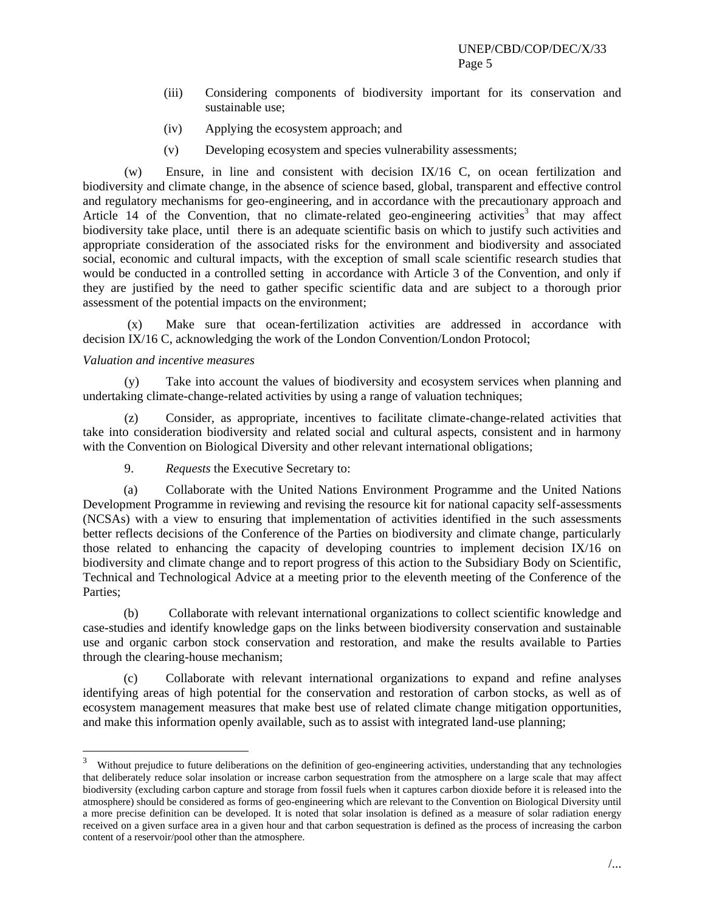- (iii) Considering components of biodiversity important for its conservation and sustainable use;
- (iv) Applying the ecosystem approach; and
- (v) Developing ecosystem and species vulnerability assessments;

(w) Ensure, in line and consistent with decision IX/16 C, on ocean fertilization and biodiversity and climate change, in the absence of science based, global, transparent and effective control and regulatory mechanisms for geo-engineering, and in accordance with the precautionary approach and Article 14 of the Convention, that no climate-related geo-engineering activities<sup>3</sup> that may affect biodiversity take place, until there is an adequate scientific basis on which to justify such activities and appropriate consideration of the associated risks for the environment and biodiversity and associated social, economic and cultural impacts, with the exception of small scale scientific research studies that would be conducted in a controlled setting in accordance with Article 3 of the Convention, and only if they are justified by the need to gather specific scientific data and are subject to a thorough prior assessment of the potential impacts on the environment;

(x) Make sure that ocean-fertilization activities are addressed in accordance with decision IX/16 C, acknowledging the work of the London Convention/London Protocol;

## *Valuation and incentive measures*

l

(y) Take into account the values of biodiversity and ecosystem services when planning and undertaking climate-change-related activities by using a range of valuation techniques;

(z) Consider, as appropriate, incentives to facilitate climate-change-related activities that take into consideration biodiversity and related social and cultural aspects, consistent and in harmony with the Convention on Biological Diversity and other relevant international obligations;

9. *Requests* the Executive Secretary to:

(a) Collaborate with the United Nations Environment Programme and the United Nations Development Programme in reviewing and revising the resource kit for national capacity self-assessments (NCSAs) with a view to ensuring that implementation of activities identified in the such assessments better reflects decisions of the Conference of the Parties on biodiversity and climate change, particularly those related to enhancing the capacity of developing countries to implement decision IX/16 on biodiversity and climate change and to report progress of this action to the Subsidiary Body on Scientific, Technical and Technological Advice at a meeting prior to the eleventh meeting of the Conference of the Parties;

(b) Collaborate with relevant international organizations to collect scientific knowledge and case-studies and identify knowledge gaps on the links between biodiversity conservation and sustainable use and organic carbon stock conservation and restoration, and make the results available to Parties through the clearing-house mechanism;

(c) Collaborate with relevant international organizations to expand and refine analyses identifying areas of high potential for the conservation and restoration of carbon stocks, as well as of ecosystem management measures that make best use of related climate change mitigation opportunities, and make this information openly available, such as to assist with integrated land-use planning;

<sup>3</sup> Without prejudice to future deliberations on the definition of geo-engineering activities, understanding that any technologies that deliberately reduce solar insolation or increase carbon sequestration from the atmosphere on a large scale that may affect biodiversity (excluding carbon capture and storage from fossil fuels when it captures carbon dioxide before it is released into the atmosphere) should be considered as forms of geo-engineering which are relevant to the Convention on Biological Diversity until a more precise definition can be developed. It is noted that solar insolation is defined as a measure of solar radiation energy received on a given surface area in a given hour and that carbon sequestration is defined as the process of increasing the carbon content of a reservoir/pool other than the atmosphere.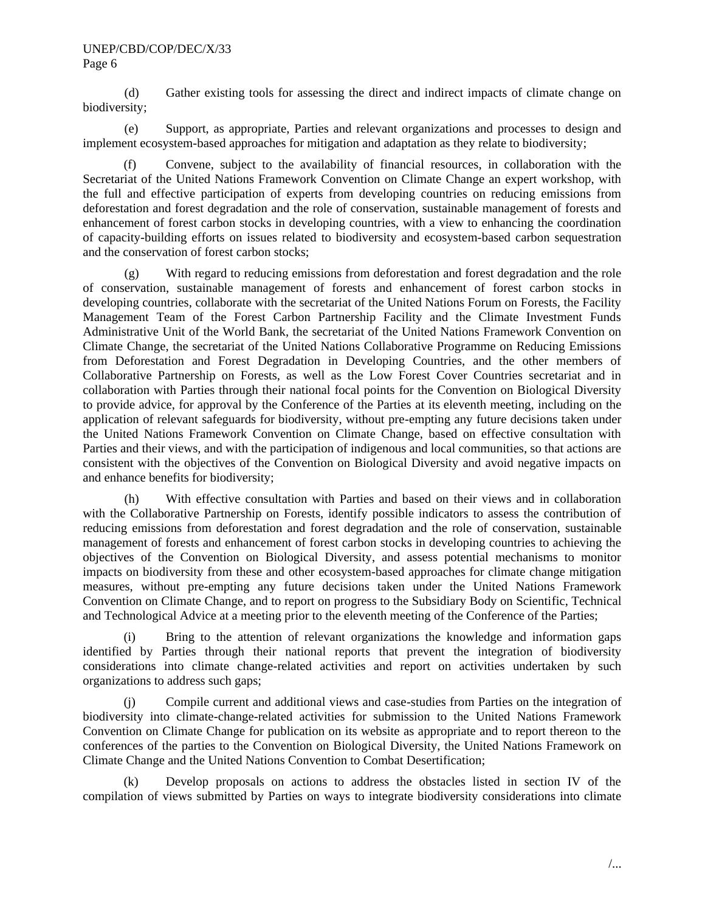#### UNEP/CBD/COP/DEC/X/33 Page 6

(d) Gather existing tools for assessing the direct and indirect impacts of climate change on biodiversity;

(e) Support, as appropriate, Parties and relevant organizations and processes to design and implement ecosystem-based approaches for mitigation and adaptation as they relate to biodiversity;

(f) Convene, subject to the availability of financial resources, in collaboration with the Secretariat of the United Nations Framework Convention on Climate Change an expert workshop, with the full and effective participation of experts from developing countries on reducing emissions from deforestation and forest degradation and the role of conservation, sustainable management of forests and enhancement of forest carbon stocks in developing countries, with a view to enhancing the coordination of capacity-building efforts on issues related to biodiversity and ecosystem-based carbon sequestration and the conservation of forest carbon stocks;

(g) With regard to reducing emissions from deforestation and forest degradation and the role of conservation, sustainable management of forests and enhancement of forest carbon stocks in developing countries, collaborate with the secretariat of the United Nations Forum on Forests, the Facility Management Team of the Forest Carbon Partnership Facility and the Climate Investment Funds Administrative Unit of the World Bank, the secretariat of the United Nations Framework Convention on Climate Change, the secretariat of the United Nations Collaborative Programme on Reducing Emissions from Deforestation and Forest Degradation in Developing Countries, and the other members of Collaborative Partnership on Forests, as well as the Low Forest Cover Countries secretariat and in collaboration with Parties through their national focal points for the Convention on Biological Diversity to provide advice, for approval by the Conference of the Parties at its eleventh meeting, including on the application of relevant safeguards for biodiversity, without pre-empting any future decisions taken under the United Nations Framework Convention on Climate Change, based on effective consultation with Parties and their views, and with the participation of indigenous and local communities, so that actions are consistent with the objectives of the Convention on Biological Diversity and avoid negative impacts on and enhance benefits for biodiversity;

(h) With effective consultation with Parties and based on their views and in collaboration with the Collaborative Partnership on Forests, identify possible indicators to assess the contribution of reducing emissions from deforestation and forest degradation and the role of conservation, sustainable management of forests and enhancement of forest carbon stocks in developing countries to achieving the objectives of the Convention on Biological Diversity, and assess potential mechanisms to monitor impacts on biodiversity from these and other ecosystem-based approaches for climate change mitigation measures, without pre-empting any future decisions taken under the United Nations Framework Convention on Climate Change, and to report on progress to the Subsidiary Body on Scientific, Technical and Technological Advice at a meeting prior to the eleventh meeting of the Conference of the Parties;

(i) Bring to the attention of relevant organizations the knowledge and information gaps identified by Parties through their national reports that prevent the integration of biodiversity considerations into climate change-related activities and report on activities undertaken by such organizations to address such gaps;

(j) Compile current and additional views and case-studies from Parties on the integration of biodiversity into climate-change-related activities for submission to the United Nations Framework Convention on Climate Change for publication on its website as appropriate and to report thereon to the conferences of the parties to the Convention on Biological Diversity, the United Nations Framework on Climate Change and the United Nations Convention to Combat Desertification;

(k) Develop proposals on actions to address the obstacles listed in section IV of the compilation of views submitted by Parties on ways to integrate biodiversity considerations into climate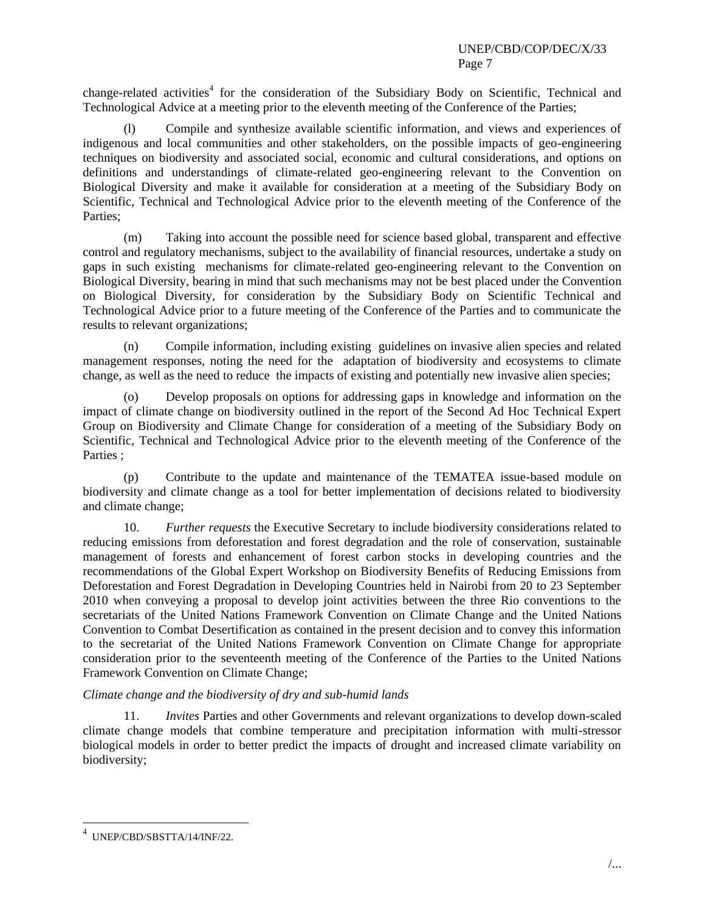change-related activities<sup>4</sup> for the consideration of the Subsidiary Body on Scientific, Technical and Technological Advice at a meeting prior to the eleventh meeting of the Conference of the Parties;

(l) Compile and synthesize available scientific information, and views and experiences of indigenous and local communities and other stakeholders, on the possible impacts of geo-engineering techniques on biodiversity and associated social, economic and cultural considerations, and options on definitions and understandings of climate-related geo-engineering relevant to the Convention on Biological Diversity and make it available for consideration at a meeting of the Subsidiary Body on Scientific, Technical and Technological Advice prior to the eleventh meeting of the Conference of the Parties;

(m) Taking into account the possible need for science based global, transparent and effective control and regulatory mechanisms, subject to the availability of financial resources, undertake a study on gaps in such existing mechanisms for climate-related geo-engineering relevant to the Convention on Biological Diversity, bearing in mind that such mechanisms may not be best placed under the Convention on Biological Diversity, for consideration by the Subsidiary Body on Scientific Technical and Technological Advice prior to a future meeting of the Conference of the Parties and to communicate the results to relevant organizations;

(n) Compile information, including existing guidelines on invasive alien species and related management responses, noting the need for the adaptation of biodiversity and ecosystems to climate change, as well as the need to reduce the impacts of existing and potentially new invasive alien species;

(o) Develop proposals on options for addressing gaps in knowledge and information on the impact of climate change on biodiversity outlined in the report of the Second Ad Hoc Technical Expert Group on Biodiversity and Climate Change for consideration of a meeting of the Subsidiary Body on Scientific, Technical and Technological Advice prior to the eleventh meeting of the Conference of the Parties ;

(p) Contribute to the update and maintenance of the TEMATEA issue-based module on biodiversity and climate change as a tool for better implementation of decisions related to biodiversity and climate change;

10. *Further requests* the Executive Secretary to include biodiversity considerations related to reducing emissions from deforestation and forest degradation and the role of conservation, sustainable management of forests and enhancement of forest carbon stocks in developing countries and the recommendations of the Global Expert Workshop on Biodiversity Benefits of Reducing Emissions from Deforestation and Forest Degradation in Developing Countries held in Nairobi from 20 to 23 September 2010 when conveying a proposal to develop joint activities between the three Rio conventions to the secretariats of the United Nations Framework Convention on Climate Change and the United Nations Convention to Combat Desertification as contained in the present decision and to convey this information to the secretariat of the United Nations Framework Convention on Climate Change for appropriate consideration prior to the seventeenth meeting of the Conference of the Parties to the United Nations Framework Convention on Climate Change;

## *Climate change and the biodiversity of dry and sub-humid lands*

11. *Invites* Parties and other Governments and relevant organizations to develop down-scaled climate change models that combine temperature and precipitation information with multi-stressor biological models in order to better predict the impacts of drought and increased climate variability on biodiversity;

<sup>4</sup> UNEP/CBD/SBSTTA/14/INF/22.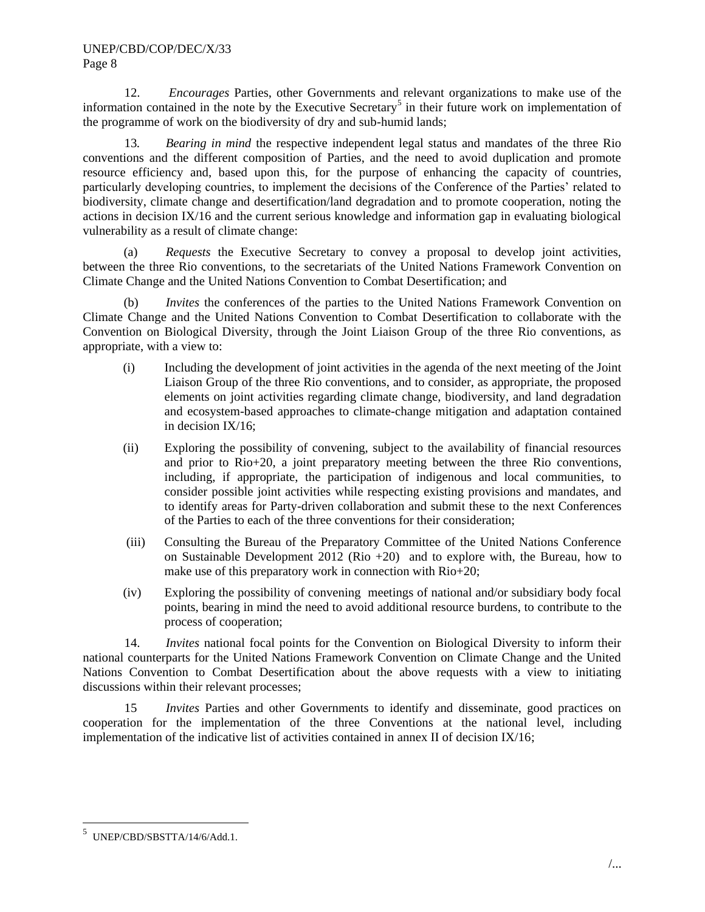12. *Encourages* Parties, other Governments and relevant organizations to make use of the information contained in the note by the Executive Secretary<sup>5</sup> in their future work on implementation of the programme of work on the biodiversity of dry and sub-humid lands;

13*. Bearing in mind* the respective independent legal status and mandates of the three Rio conventions and the different composition of Parties, and the need to avoid duplication and promote resource efficiency and, based upon this, for the purpose of enhancing the capacity of countries, particularly developing countries, to implement the decisions of the Conference of the Parties' related to biodiversity, climate change and desertification/land degradation and to promote cooperation, noting the actions in decision IX/16 and the current serious knowledge and information gap in evaluating biological vulnerability as a result of climate change:

(a) *Requests* the Executive Secretary to convey a proposal to develop joint activities, between the three Rio conventions, to the secretariats of the United Nations Framework Convention on Climate Change and the United Nations Convention to Combat Desertification; and

(b) *Invites* the conferences of the parties to the United Nations Framework Convention on Climate Change and the United Nations Convention to Combat Desertification to collaborate with the Convention on Biological Diversity, through the Joint Liaison Group of the three Rio conventions, as appropriate, with a view to:

- (i) Including the development of joint activities in the agenda of the next meeting of the Joint Liaison Group of the three Rio conventions, and to consider, as appropriate, the proposed elements on joint activities regarding climate change, biodiversity, and land degradation and ecosystem-based approaches to climate-change mitigation and adaptation contained in decision IX/16;
- (ii) Exploring the possibility of convening, subject to the availability of financial resources and prior to Rio+20, a joint preparatory meeting between the three Rio conventions, including, if appropriate, the participation of indigenous and local communities, to consider possible joint activities while respecting existing provisions and mandates, and to identify areas for Party-driven collaboration and submit these to the next Conferences of the Parties to each of the three conventions for their consideration;
- (iii) Consulting the Bureau of the Preparatory Committee of the United Nations Conference on Sustainable Development 2012 (Rio  $+20$ ) and to explore with, the Bureau, how to make use of this preparatory work in connection with Rio+20;
- (iv) Exploring the possibility of convening meetings of national and/or subsidiary body focal points, bearing in mind the need to avoid additional resource burdens, to contribute to the process of cooperation;

14. *Invites* national focal points for the Convention on Biological Diversity to inform their national counterparts for the United Nations Framework Convention on Climate Change and the United Nations Convention to Combat Desertification about the above requests with a view to initiating discussions within their relevant processes;

15 *Invites* Parties and other Governments to identify and disseminate, good practices on cooperation for the implementation of the three Conventions at the national level, including implementation of the indicative list of activities contained in annex II of decision IX/16;

<sup>5</sup> UNEP/CBD/SBSTTA/14/6/Add.1.